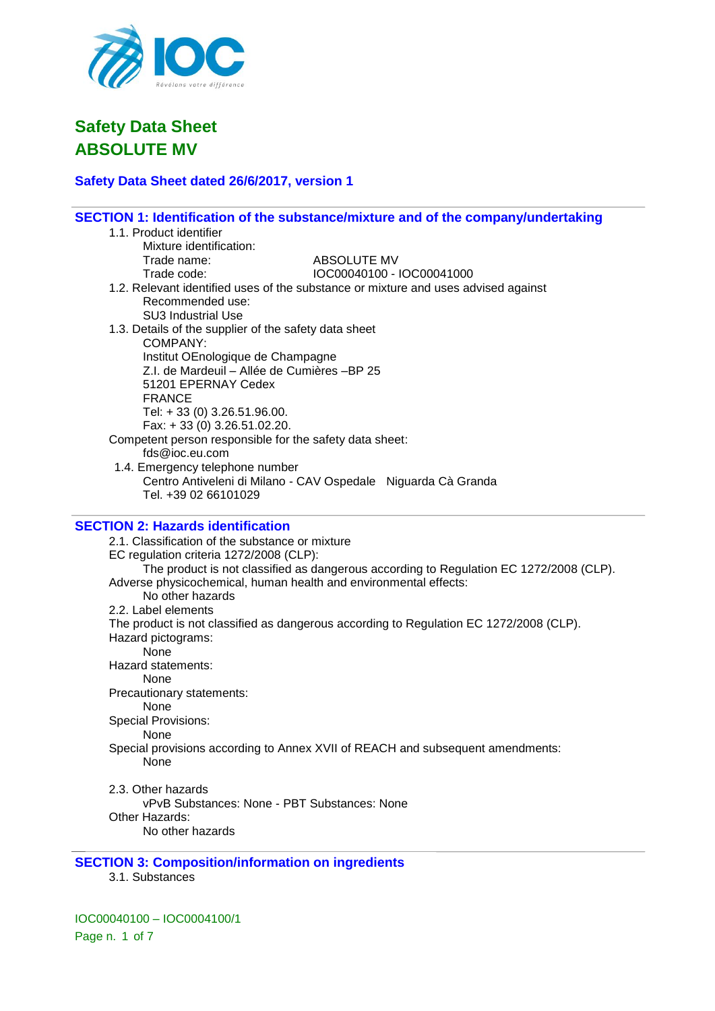

# **Safety Data Sheet dated 26/6/2017, version 1**

|                                                          | SECTION 1: Identification of the substance/mixture and of the company/undertaking      |
|----------------------------------------------------------|----------------------------------------------------------------------------------------|
| 1.1. Product identifier                                  |                                                                                        |
| Mixture identification:                                  |                                                                                        |
| Trade name:                                              | ABSOLUTE MV                                                                            |
| Trade code:                                              | IOC00040100 - IOC00041000                                                              |
|                                                          | 1.2. Relevant identified uses of the substance or mixture and uses advised against     |
| Recommended use:                                         |                                                                                        |
| <b>SU3 Industrial Use</b>                                |                                                                                        |
| 1.3. Details of the supplier of the safety data sheet    |                                                                                        |
| COMPANY:                                                 |                                                                                        |
| Institut OEnologique de Champagne                        |                                                                                        |
| Z.I. de Mardeuil - Allée de Cumières -BP 25              |                                                                                        |
| 51201 EPERNAY Cedex                                      |                                                                                        |
| <b>FRANCE</b>                                            |                                                                                        |
| Tel: +33 (0) 3.26.51.96.00.                              |                                                                                        |
| Fax: +33 (0) 3.26.51.02.20.                              |                                                                                        |
| Competent person responsible for the safety data sheet:  |                                                                                        |
| fds@ioc.eu.com                                           |                                                                                        |
| 1.4. Emergency telephone number                          |                                                                                        |
|                                                          | Centro Antiveleni di Milano - CAV Ospedale Niguarda Cà Granda                          |
| Tel. +39 02 66101029                                     |                                                                                        |
|                                                          |                                                                                        |
| <b>SECTION 2: Hazards identification</b>                 |                                                                                        |
| 2.1. Classification of the substance or mixture          |                                                                                        |
| EC regulation criteria 1272/2008 (CLP):                  |                                                                                        |
|                                                          | The product is not classified as dangerous according to Regulation EC 1272/2008 (CLP). |
|                                                          | Adverse physicochemical, human health and environmental effects:                       |
| No other hazards                                         |                                                                                        |
| 2.2. Label elements                                      |                                                                                        |
|                                                          | The product is not classified as dangerous according to Regulation EC 1272/2008 (CLP). |
| Hazard pictograms:                                       |                                                                                        |
| None                                                     |                                                                                        |
| Hazard statements:                                       |                                                                                        |
| None                                                     |                                                                                        |
| Precautionary statements:                                |                                                                                        |
| None                                                     |                                                                                        |
| <b>Special Provisions:</b>                               |                                                                                        |
| None                                                     |                                                                                        |
|                                                          | Special provisions according to Annex XVII of REACH and subsequent amendments:         |
| None                                                     |                                                                                        |
|                                                          |                                                                                        |
| 2.3. Other hazards                                       |                                                                                        |
| vPvB Substances: None - PBT Substances: None             |                                                                                        |
| Other Hazards:                                           |                                                                                        |
| No other hazards                                         |                                                                                        |
|                                                          |                                                                                        |
| <b>CECTION 2. Composition linformation on incredient</b> |                                                                                        |

## **SECTION 3: Composition/information on ingredients**

3.1. Substances

IOC00040100 – IOC0004100/1 Page n. 1 of 7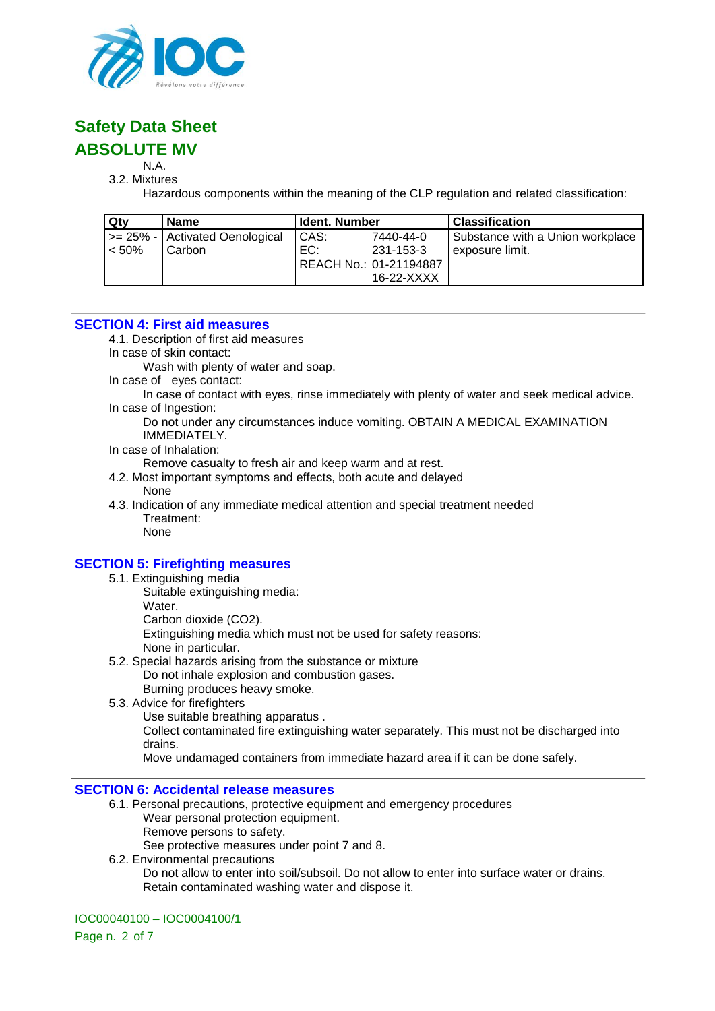

# N.A.

3.2. Mixtures

Hazardous components within the meaning of the CLP regulation and related classification:

| Qty      | <b>Name</b>                       | <b>Ident. Number</b> |                        | <b>Classification</b>            |
|----------|-----------------------------------|----------------------|------------------------|----------------------------------|
|          | $\ge$ 25% - Activated Oenological | CAS:                 | 7440-44-0              | Substance with a Union workplace |
| $< 50\%$ | Carbon                            | EC:                  | 231-153-3              | exposure limit.                  |
|          |                                   |                      | REACH No.: 01-21194887 |                                  |
|          |                                   |                      | 16-22-XXXX             |                                  |

#### **SECTION 4: First aid measures**

4.1. Description of first aid measures

In case of skin contact:

Wash with plenty of water and soap.

In case of eyes contact:

In case of contact with eyes, rinse immediately with plenty of water and seek medical advice. In case of Ingestion:

Do not under any circumstances induce vomiting. OBTAIN A MEDICAL EXAMINATION IMMEDIATELY.

In case of Inhalation:

Remove casualty to fresh air and keep warm and at rest.

- 4.2. Most important symptoms and effects, both acute and delayed None
- 4.3. Indication of any immediate medical attention and special treatment needed Treatment: None

## **SECTION 5: Firefighting measures**

- 5.1. Extinguishing media
	- Suitable extinguishing media:
	- Water.

Carbon dioxide (CO2).

Extinguishing media which must not be used for safety reasons: None in particular.

- 5.2. Special hazards arising from the substance or mixture Do not inhale explosion and combustion gases.
	- Burning produces heavy smoke.
- 5.3. Advice for firefighters
	- Use suitable breathing apparatus .

Collect contaminated fire extinguishing water separately. This must not be discharged into drains.

Move undamaged containers from immediate hazard area if it can be done safely.

#### **SECTION 6: Accidental release measures**

- 6.1. Personal precautions, protective equipment and emergency procedures
	- Wear personal protection equipment.
	- Remove persons to safety.
	- See protective measures under point 7 and 8.
- 6.2. Environmental precautions Do not allow to enter into soil/subsoil. Do not allow to enter into surface water or drains. Retain contaminated washing water and dispose it.

#### IOC00040100 – IOC0004100/1

Page n. 2 of 7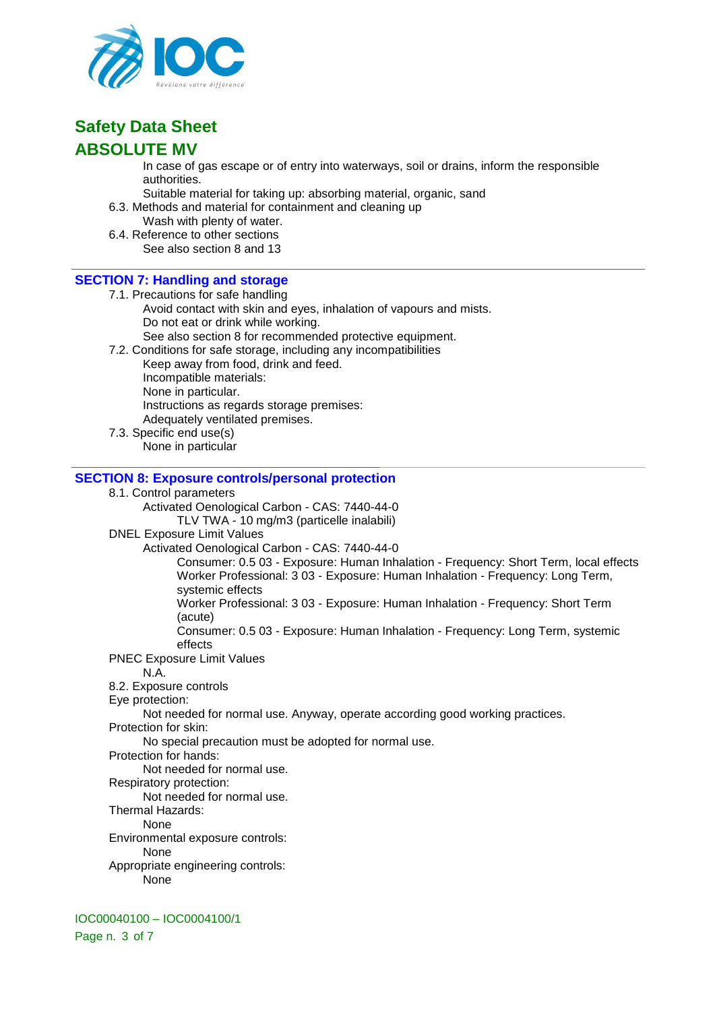

In case of gas escape or of entry into waterways, soil or drains, inform the responsible authorities.

- Suitable material for taking up: absorbing material, organic, sand
- 6.3. Methods and material for containment and cleaning up
- Wash with plenty of water. 6.4. Reference to other sections

See also section 8 and 13

## **SECTION 7: Handling and storage**

- 7.1. Precautions for safe handling
	- Avoid contact with skin and eyes, inhalation of vapours and mists. Do not eat or drink while working. See also section 8 for recommended protective equipment.
- 
- 7.2. Conditions for safe storage, including any incompatibilities Keep away from food, drink and feed. Incompatible materials: None in particular. Instructions as regards storage premises: Adequately ventilated premises.
- 7.3. Specific end use(s) None in particular

#### **SECTION 8: Exposure controls/personal protection**

#### 8.1. Control parameters

Activated Oenological Carbon - CAS: 7440-44-0 TLV TWA - 10 mg/m3 (particelle inalabili)

DNEL Exposure Limit Values

#### Activated Oenological Carbon - CAS: 7440-44-0

Consumer: 0.5 03 - Exposure: Human Inhalation - Frequency: Short Term, local effects Worker Professional: 3 03 - Exposure: Human Inhalation - Frequency: Long Term, systemic effects

Worker Professional: 3 03 - Exposure: Human Inhalation - Frequency: Short Term (acute)

Consumer: 0.5 03 - Exposure: Human Inhalation - Frequency: Long Term, systemic effects

PNEC Exposure Limit Values

N.A.

- 8.2. Exposure controls
- Eye protection:

Not needed for normal use. Anyway, operate according good working practices.

Protection for skin:

No special precaution must be adopted for normal use.

Protection for hands:

Not needed for normal use.

Respiratory protection:

Not needed for normal use.

Thermal Hazards:

None

Environmental exposure controls:

None

Appropriate engineering controls:

None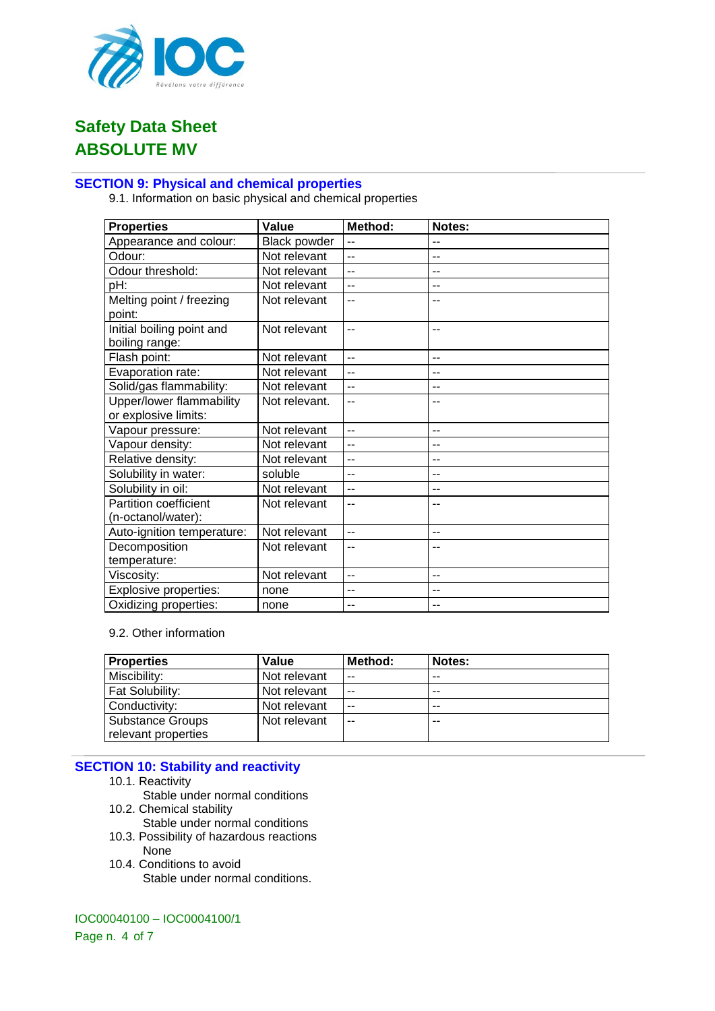

## **SECTION 9: Physical and chemical properties**

9.1. Information on basic physical and chemical properties

| <b>Properties</b>                           | Value               | Method:        | Notes:            |
|---------------------------------------------|---------------------|----------------|-------------------|
| Appearance and colour:                      | <b>Black powder</b> | $\overline{a}$ | $\overline{a}$    |
| Odour:                                      | Not relevant        | $\overline{a}$ | $-$               |
| Odour threshold:                            | Not relevant        | $-$            | $-$               |
| pH:                                         | Not relevant        | $-$            | $-$               |
| Melting point / freezing<br>point:          | Not relevant        | $-$            |                   |
| Initial boiling point and<br>boiling range: | Not relevant        | $-$            | $\overline{a}$    |
| Flash point:                                | Not relevant        | $-$            | $- -$             |
| Evaporation rate:                           | Not relevant        | $-$            | $-$               |
| Solid/gas flammability:                     | Not relevant        | $\overline{a}$ | $\qquad \qquad -$ |
| Upper/lower flammability                    | Not relevant.       | $-$            |                   |
| or explosive limits:                        |                     |                |                   |
| Vapour pressure:                            | Not relevant        | $\overline{a}$ | $- -$             |
| Vapour density:                             | Not relevant        | $\overline{a}$ | $-$               |
| Relative density:                           | Not relevant        | --             | $-$               |
| Solubility in water:                        | soluble             | --             | --                |
| Solubility in oil:                          | Not relevant        | $-$            | $-$               |
| Partition coefficient                       | Not relevant        | $-$            | $-$               |
| (n-octanol/water):                          |                     |                |                   |
| Auto-ignition temperature:                  | Not relevant        | $-$            | $- -$             |
| Decomposition                               | Not relevant        | $-$            | --                |
| temperature:                                |                     |                |                   |
| Viscosity:                                  | Not relevant        | $-$            | $-$               |
| <b>Explosive properties:</b>                | none                | --             | --                |
| Oxidizing properties:                       | none                | $-$            | --                |

#### 9.2. Other information

| <b>Properties</b>       | Value        | Method: | Notes: |
|-------------------------|--------------|---------|--------|
| Miscibility:            | Not relevant | $- -$   | $-$    |
| Fat Solubility:         | Not relevant | $- -$   | $-$    |
| Conductivity:           | Not relevant | $- -$   | --     |
| <b>Substance Groups</b> | Not relevant | $- -$   | --     |
| relevant properties     |              |         |        |

## **SECTION 10: Stability and reactivity**

- 10.1. Reactivity
	- Stable under normal conditions
- 10.2. Chemical stability
- Stable under normal conditions 10.3. Possibility of hazardous reactions
- None 10.4. Conditions to avoid
	- Stable under normal conditions.

#### IOC00040100 – IOC0004100/1

Page n. 4 of 7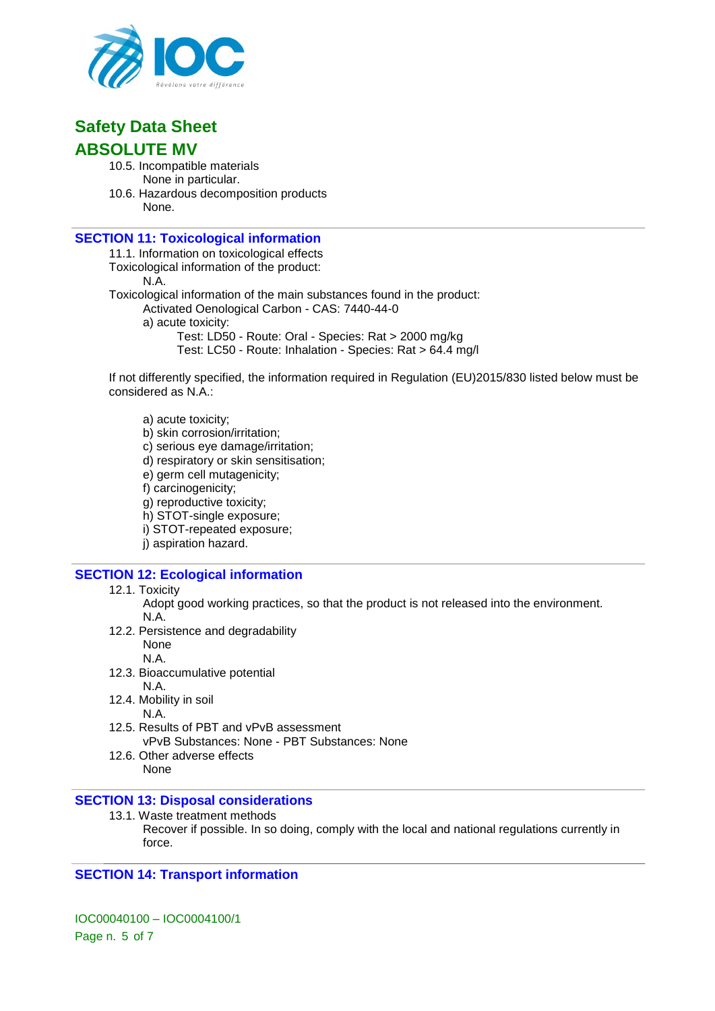

- 10.5. Incompatible materials None in particular.
- 10.6. Hazardous decomposition products None.

## **SECTION 11: Toxicological information**

11.1. Information on toxicological effects

Toxicological information of the product:

N.A.

Toxicological information of the main substances found in the product:

- Activated Oenological Carbon CAS: 7440-44-0
- a) acute toxicity:
	- Test: LD50 Route: Oral Species: Rat > 2000 mg/kg
	- Test: LC50 Route: Inhalation Species: Rat > 64.4 mg/l

If not differently specified, the information required in Regulation (EU)2015/830 listed below must be considered as N.A.:

a) acute toxicity;

- b) skin corrosion/irritation;
- c) serious eye damage/irritation;
- d) respiratory or skin sensitisation;
- e) germ cell mutagenicity;
- f) carcinogenicity;
- g) reproductive toxicity;
- h) STOT-single exposure;
- i) STOT-repeated exposure;
- j) aspiration hazard.

## **SECTION 12: Ecological information**

- 12.1. Toxicity
	- Adopt good working practices, so that the product is not released into the environment. N.A.
- 12.2. Persistence and degradability
	- None N.A.
- 12.3. Bioaccumulative potential
	- N.A.
- 12.4. Mobility in soil
	- N.A.
- 12.5. Results of PBT and vPvB assessment vPvB Substances: None - PBT Substances: None
- 12.6. Other adverse effects None

## **SECTION 13: Disposal considerations**

13.1. Waste treatment methods Recover if possible. In so doing, comply with the local and national regulations currently in force.

## **SECTION 14: Transport information**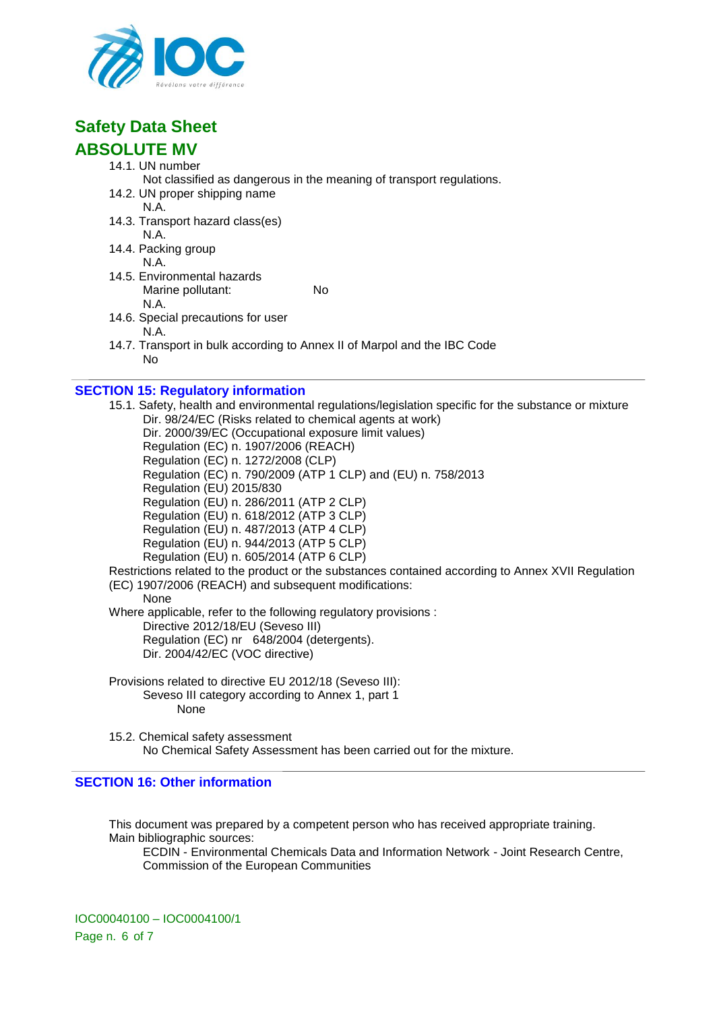

# **Safety Data Sheet**

# **ABSOLUTE MV**

- 14.1. UN number
	- Not classified as dangerous in the meaning of transport regulations.
- 14.2. UN proper shipping name N.A.
- 14.3. Transport hazard class(es) N.A.
- 14.4. Packing group N.A.
- 14.5. Environmental hazards Marine pollutant: No N.A.
- 14.6. Special precautions for user N.A.
- 14.7. Transport in bulk according to Annex II of Marpol and the IBC Code No

# **SECTION 15: Regulatory information**

15.1. Safety, health and environmental regulations/legislation specific for the substance or mixture Dir. 98/24/EC (Risks related to chemical agents at work) Dir. 2000/39/EC (Occupational exposure limit values) Regulation (EC) n. 1907/2006 (REACH) Regulation (EC) n. 1272/2008 (CLP) Regulation (EC) n. 790/2009 (ATP 1 CLP) and (EU) n. 758/2013 Regulation (EU) 2015/830 Regulation (EU) n. 286/2011 (ATP 2 CLP) Regulation (EU) n. 618/2012 (ATP 3 CLP) Regulation (EU) n. 487/2013 (ATP 4 CLP) Regulation (EU) n. 944/2013 (ATP 5 CLP) Regulation (EU) n. 605/2014 (ATP 6 CLP) Restrictions related to the product or the substances contained according to Annex XVII Regulation (EC) 1907/2006 (REACH) and subsequent modifications: None Where applicable, refer to the following regulatory provisions : Directive 2012/18/EU (Seveso III) Regulation (EC) nr 648/2004 (detergents). Dir. 2004/42/EC (VOC directive) Provisions related to directive EU 2012/18 (Seveso III):

- Seveso III category according to Annex 1, part 1 None
- 15.2. Chemical safety assessment No Chemical Safety Assessment has been carried out for the mixture.

## **SECTION 16: Other information**

This document was prepared by a competent person who has received appropriate training. Main bibliographic sources:

ECDIN - Environmental Chemicals Data and Information Network - Joint Research Centre, Commission of the European Communities